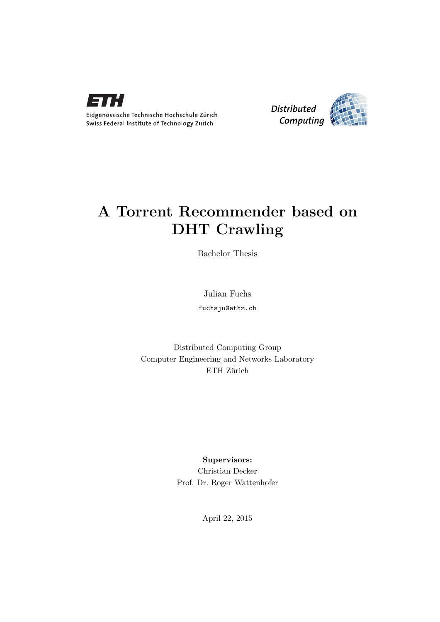



## A Torrent Recommender based on DHT Crawling

Bachelor Thesis

Julian Fuchs

fuchsju@ethz.ch

Distributed Computing Group Computer Engineering and Networks Laboratory ETH Zürich

> Supervisors: Christian Decker Prof. Dr. Roger Wattenhofer

> > April 22, 2015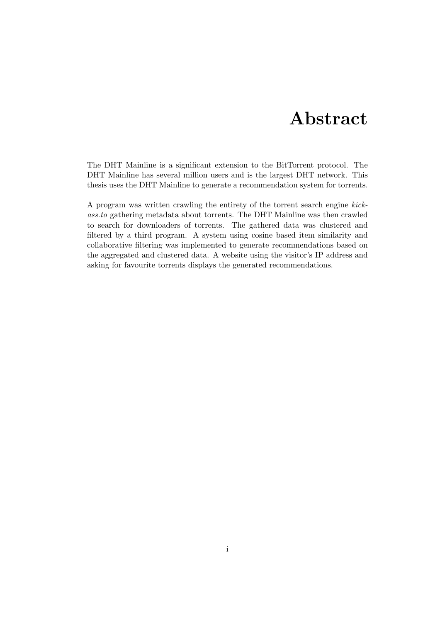# Abstract

<span id="page-1-0"></span>The DHT Mainline is a significant extension to the BitTorrent protocol. The DHT Mainline has several million users and is the largest DHT network. This thesis uses the DHT Mainline to generate a recommendation system for torrents.

A program was written crawling the entirety of the torrent search engine kickass.to gathering metadata about torrents. The DHT Mainline was then crawled to search for downloaders of torrents. The gathered data was clustered and filtered by a third program. A system using cosine based item similarity and collaborative filtering was implemented to generate recommendations based on the aggregated and clustered data. A website using the visitor's IP address and asking for favourite torrents displays the generated recommendations.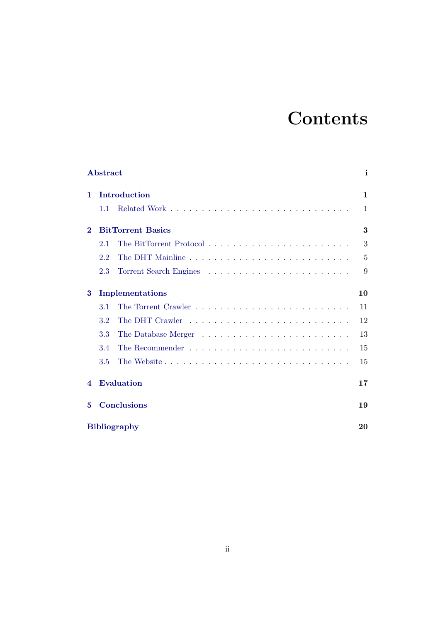# **Contents**

|                        | Abstract                 | i  |
|------------------------|--------------------------|----|
| 1                      | Introduction             | 1  |
|                        | 1.1                      | 1  |
| $\bf{2}$               | <b>BitTorrent Basics</b> | 3  |
|                        | 2.1                      | 3  |
|                        | 2.2                      | 5  |
|                        | 2.3                      | 9  |
| 3                      | Implementations          | 10 |
|                        | 3.1                      | 11 |
|                        | 3.2                      | 12 |
|                        | 3.3                      | 13 |
|                        | 3.4                      | 15 |
|                        | The Website<br>3.5       | 15 |
| $\boldsymbol{\Lambda}$ | <b>Evaluation</b>        | 17 |
| 5                      | <b>Conclusions</b>       | 19 |
| <b>Bibliography</b>    |                          | 20 |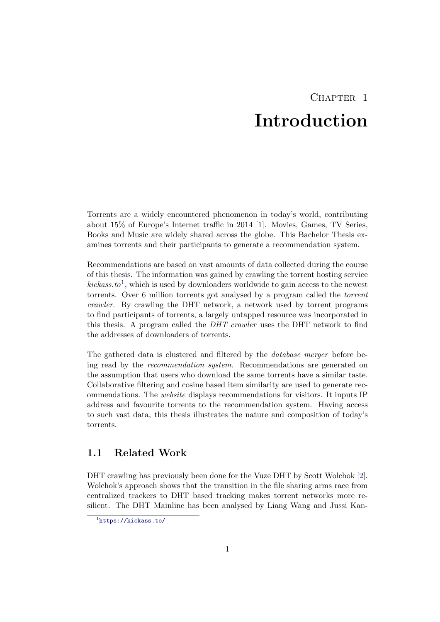# CHAPTER<sub>1</sub> Introduction

<span id="page-3-0"></span>Torrents are a widely encountered phenomenon in today's world, contributing about 15% of Europe's Internet traffic in 2014 [\[1\]](#page-22-1). Movies, Games, TV Series, Books and Music are widely shared across the globe. This Bachelor Thesis examines torrents and their participants to generate a recommendation system.

Recommendations are based on vast amounts of data collected during the course of this thesis. The information was gained by crawling the torrent hosting service  $kicks.to<sup>1</sup>$  $kicks.to<sup>1</sup>$  $kicks.to<sup>1</sup>$ , which is used by downloaders worldwide to gain access to the newest torrents. Over 6 million torrents got analysed by a program called the torrent crawler. By crawling the DHT network, a network used by torrent programs to find participants of torrents, a largely untapped resource was incorporated in this thesis. A program called the DHT crawler uses the DHT network to find the addresses of downloaders of torrents.

The gathered data is clustered and filtered by the database merger before being read by the recommendation system. Recommendations are generated on the assumption that users who download the same torrents have a similar taste. Collaborative filtering and cosine based item similarity are used to generate recommendations. The website displays recommendations for visitors. It inputs IP address and favourite torrents to the recommendation system. Having access to such vast data, this thesis illustrates the nature and composition of today's torrents.

## <span id="page-3-1"></span>1.1 Related Work

DHT crawling has previously been done for the Vuze DHT by Scott Wolchok [\[2\]](#page-22-2). Wolchok's approach shows that the transition in the file sharing arms race from centralized trackers to DHT based tracking makes torrent networks more resilient. The DHT Mainline has been analysed by Liang Wang and Jussi Kan-

<span id="page-3-2"></span><sup>1</sup> <https://kickass.to/>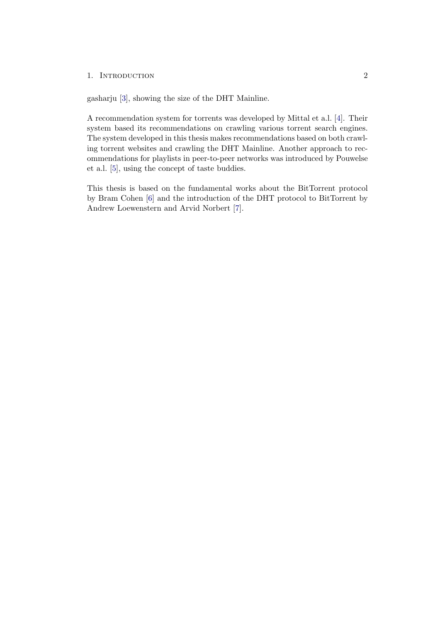### 1. INTRODUCTION 2

gasharju [\[3\]](#page-22-3), showing the size of the DHT Mainline.

A recommendation system for torrents was developed by Mittal et a.l. [\[4\]](#page-22-4). Their system based its recommendations on crawling various torrent search engines. The system developed in this thesis makes recommendations based on both crawling torrent websites and crawling the DHT Mainline. Another approach to recommendations for playlists in peer-to-peer networks was introduced by Pouwelse et a.l. [\[5\]](#page-22-5), using the concept of taste buddies.

This thesis is based on the fundamental works about the BitTorrent protocol by Bram Cohen [\[6\]](#page-22-6) and the introduction of the DHT protocol to BitTorrent by Andrew Loewenstern and Arvid Norbert [\[7\]](#page-22-7).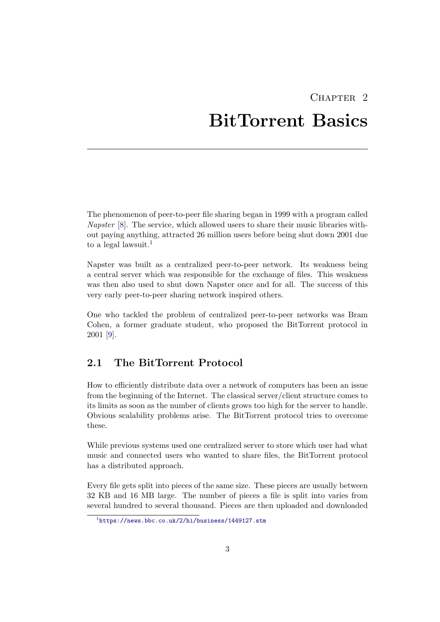# $CHAPTER$  2 BitTorrent Basics

<span id="page-5-0"></span>The phenomenon of peer-to-peer file sharing began in 1999 with a program called Napster [\[8\]](#page-22-8). The service, which allowed users to share their music libraries without paying anything, attracted 26 million users before being shut down 2001 due to a legal lawsuit.<sup>[1](#page-5-2)</sup>

Napster was built as a centralized peer-to-peer network. Its weakness being a central server which was responsible for the exchange of files. This weakness was then also used to shut down Napster once and for all. The success of this very early peer-to-peer sharing network inspired others.

One who tackled the problem of centralized peer-to-peer networks was Bram Cohen, a former graduate student, who proposed the BitTorrent protocol in 2001 [\[9\]](#page-22-9).

## <span id="page-5-1"></span>2.1 The BitTorrent Protocol

How to efficiently distribute data over a network of computers has been an issue from the beginning of the Internet. The classical server/client structure comes to its limits as soon as the number of clients grows too high for the server to handle. Obvious scalability problems arise. The BitTorrent protocol tries to overcome these.

While previous systems used one centralized server to store which user had what music and connected users who wanted to share files, the BitTorrent protocol has a distributed approach.

Every file gets split into pieces of the same size. These pieces are usually between 32 KB and 16 MB large. The number of pieces a file is split into varies from several hundred to several thousand. Pieces are then uploaded and downloaded

<span id="page-5-2"></span> $1$ <https://news.bbc.co.uk/2/hi/business/1449127.stm>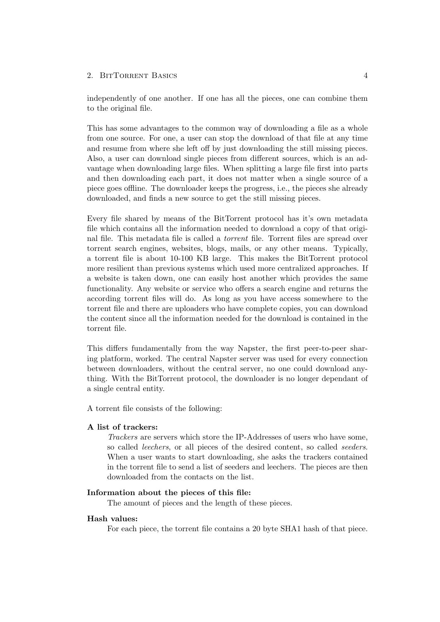independently of one another. If one has all the pieces, one can combine them to the original file.

This has some advantages to the common way of downloading a file as a whole from one source. For one, a user can stop the download of that file at any time and resume from where she left off by just downloading the still missing pieces. Also, a user can download single pieces from different sources, which is an advantage when downloading large files. When splitting a large file first into parts and then downloading each part, it does not matter when a single source of a piece goes offline. The downloader keeps the progress, i.e., the pieces she already downloaded, and finds a new source to get the still missing pieces.

Every file shared by means of the BitTorrent protocol has it's own metadata file which contains all the information needed to download a copy of that original file. This metadata file is called a torrent file. Torrent files are spread over torrent search engines, websites, blogs, mails, or any other means. Typically, a torrent file is about 10-100 KB large. This makes the BitTorrent protocol more resilient than previous systems which used more centralized approaches. If a website is taken down, one can easily host another which provides the same functionality. Any website or service who offers a search engine and returns the according torrent files will do. As long as you have access somewhere to the torrent file and there are uploaders who have complete copies, you can download the content since all the information needed for the download is contained in the torrent file.

This differs fundamentally from the way Napster, the first peer-to-peer sharing platform, worked. The central Napster server was used for every connection between downloaders, without the central server, no one could download anything. With the BitTorrent protocol, the downloader is no longer dependant of a single central entity.

A torrent file consists of the following:

### A list of trackers:

Trackers are servers which store the IP-Addresses of users who have some, so called leechers, or all pieces of the desired content, so called seeders. When a user wants to start downloading, she asks the trackers contained in the torrent file to send a list of seeders and leechers. The pieces are then downloaded from the contacts on the list.

### Information about the pieces of this file:

The amount of pieces and the length of these pieces.

### Hash values:

For each piece, the torrent file contains a 20 byte SHA1 hash of that piece.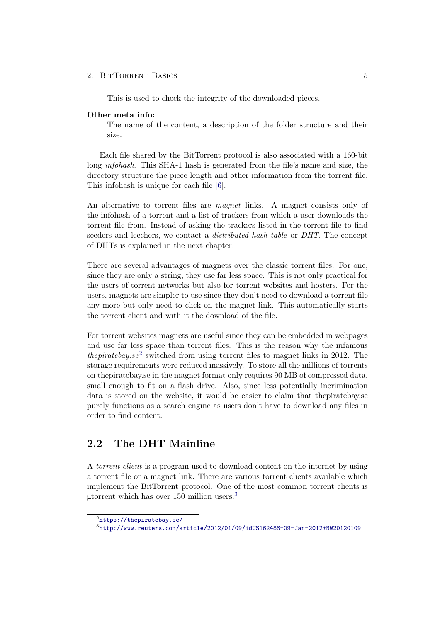This is used to check the integrity of the downloaded pieces.

### Other meta info:

The name of the content, a description of the folder structure and their size.

Each file shared by the BitTorrent protocol is also associated with a 160-bit long infohash. This SHA-1 hash is generated from the file's name and size, the directory structure the piece length and other information from the torrent file. This infohash is unique for each file [\[6\]](#page-22-6).

An alternative to torrent files are magnet links. A magnet consists only of the infohash of a torrent and a list of trackers from which a user downloads the torrent file from. Instead of asking the trackers listed in the torrent file to find seeders and leechers, we contact a distributed hash table or DHT. The concept of DHTs is explained in the next chapter.

There are several advantages of magnets over the classic torrent files. For one, since they are only a string, they use far less space. This is not only practical for the users of torrent networks but also for torrent websites and hosters. For the users, magnets are simpler to use since they don't need to download a torrent file any more but only need to click on the magnet link. This automatically starts the torrent client and with it the download of the file.

For torrent websites magnets are useful since they can be embedded in webpages and use far less space than torrent files. This is the reason why the infamous *thepiratebay.se*<sup>[2](#page-7-1)</sup> switched from using torrent files to magnet links in 2012. The storage requirements were reduced massively. To store all the millions of torrents on thepiratebay.se in the magnet format only requires 90 MB of compressed data, small enough to fit on a flash drive. Also, since less potentially incrimination data is stored on the website, it would be easier to claim that thepiratebay.se purely functions as a search engine as users don't have to download any files in order to find content.

## <span id="page-7-0"></span>2.2 The DHT Mainline

A torrent client is a program used to download content on the internet by using a torrent file or a magnet link. There are various torrent clients available which implement the BitTorrent protocol. One of the most common torrent clients is μtorrent which has over 150 million users.[3](#page-7-2)

<span id="page-7-1"></span> $^{2}$ <https://thepiratebay.se/>

<span id="page-7-2"></span> $^3$ <http://www.reuters.com/article/2012/01/09/idUS162488+09-Jan-2012+BW20120109>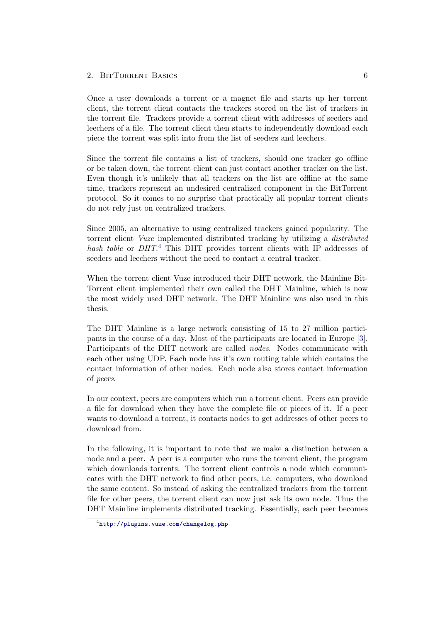Once a user downloads a torrent or a magnet file and starts up her torrent client, the torrent client contacts the trackers stored on the list of trackers in the torrent file. Trackers provide a torrent client with addresses of seeders and leechers of a file. The torrent client then starts to independently download each piece the torrent was split into from the list of seeders and leechers.

Since the torrent file contains a list of trackers, should one tracker go offline or be taken down, the torrent client can just contact another tracker on the list. Even though it's unlikely that all trackers on the list are offline at the same time, trackers represent an undesired centralized component in the BitTorrent protocol. So it comes to no surprise that practically all popular torrent clients do not rely just on centralized trackers.

Since 2005, an alternative to using centralized trackers gained popularity. The torrent client Vuze implemented distributed tracking by utilizing a distributed hash table or DHT.<sup>[4](#page-8-0)</sup> This DHT provides torrent clients with IP addresses of seeders and leechers without the need to contact a central tracker.

When the torrent client Vuze introduced their DHT network, the Mainline Bit-Torrent client implemented their own called the DHT Mainline, which is now the most widely used DHT network. The DHT Mainline was also used in this thesis.

The DHT Mainline is a large network consisting of 15 to 27 million participants in the course of a day. Most of the participants are located in Europe [\[3\]](#page-22-3). Participants of the DHT network are called nodes. Nodes communicate with each other using UDP. Each node has it's own routing table which contains the contact information of other nodes. Each node also stores contact information of peers.

In our context, peers are computers which run a torrent client. Peers can provide a file for download when they have the complete file or pieces of it. If a peer wants to download a torrent, it contacts nodes to get addresses of other peers to download from.

In the following, it is important to note that we make a distinction between a node and a peer. A peer is a computer who runs the torrent client, the program which downloads torrents. The torrent client controls a node which communicates with the DHT network to find other peers, i.e. computers, who download the same content. So instead of asking the centralized trackers from the torrent file for other peers, the torrent client can now just ask its own node. Thus the DHT Mainline implements distributed tracking. Essentially, each peer becomes

<span id="page-8-0"></span><sup>4</sup> <http://plugins.vuze.com/changelog.php>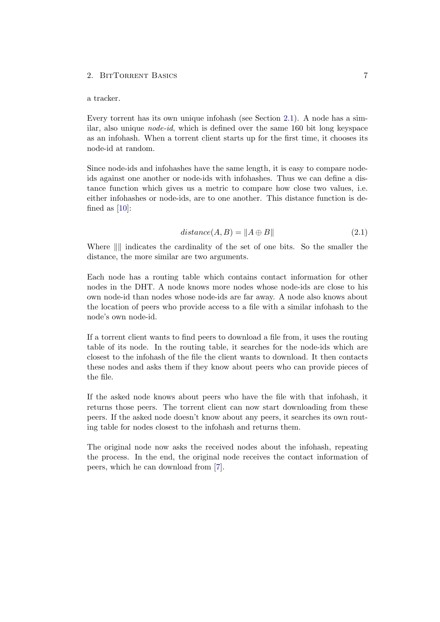#### a tracker.

Every torrent has its own unique infohash (see Section [2.1\)](#page-5-1). A node has a similar, also unique *node-id*, which is defined over the same  $160$  bit long keyspace as an infohash. When a torrent client starts up for the first time, it chooses its node-id at random.

Since node-ids and infohashes have the same length, it is easy to compare nodeids against one another or node-ids with infohashes. Thus we can define a distance function which gives us a metric to compare how close two values, i.e. either infohashes or node-ids, are to one another. This distance function is defined as [\[10\]](#page-22-10):

$$
distance(A, B) = \|A \oplus B\|
$$
\n(2.1)

Where  $\| \$  indicates the cardinality of the set of one bits. So the smaller the distance, the more similar are two arguments.

Each node has a routing table which contains contact information for other nodes in the DHT. A node knows more nodes whose node-ids are close to his own node-id than nodes whose node-ids are far away. A node also knows about the location of peers who provide access to a file with a similar infohash to the node's own node-id.

If a torrent client wants to find peers to download a file from, it uses the routing table of its node. In the routing table, it searches for the node-ids which are closest to the infohash of the file the client wants to download. It then contacts these nodes and asks them if they know about peers who can provide pieces of the file.

If the asked node knows about peers who have the file with that infohash, it returns those peers. The torrent client can now start downloading from these peers. If the asked node doesn't know about any peers, it searches its own routing table for nodes closest to the infohash and returns them.

The original node now asks the received nodes about the infohash, repeating the process. In the end, the original node receives the contact information of peers, which he can download from [\[7\]](#page-22-7).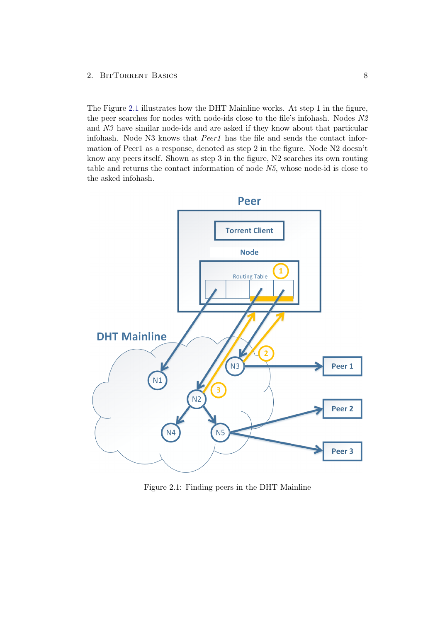The Figure [2.1](#page-10-0) illustrates how the DHT Mainline works. At step 1 in the figure, the peer searches for nodes with node-ids close to the file's infohash. Nodes N2 and N3 have similar node-ids and are asked if they know about that particular infohash. Node N3 knows that  $Peer1$  has the file and sends the contact information of Peer1 as a response, denoted as step 2 in the figure. Node N2 doesn't know any peers itself. Shown as step 3 in the figure, N2 searches its own routing table and returns the contact information of node N5, whose node-id is close to the asked infohash.



<span id="page-10-0"></span>Figure 2.1: Finding peers in the DHT Mainline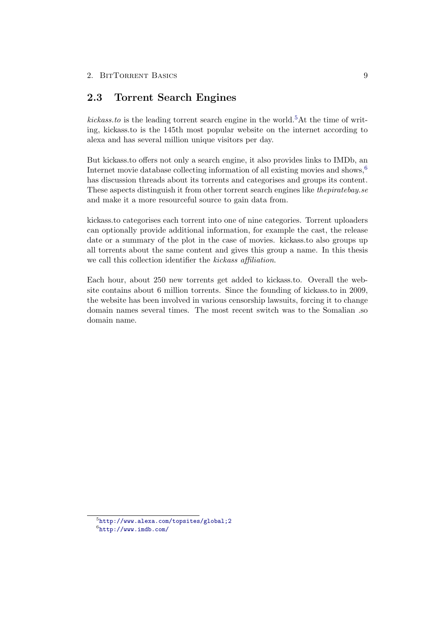## <span id="page-11-0"></span>2.3 Torrent Search Engines

kickass.to is the leading torrent search engine in the world.<sup>[5](#page-11-1)</sup>At the time of writing, kickass.to is the 145th most popular website on the internet according to alexa and has several million unique visitors per day.

But kickass.to offers not only a search engine, it also provides links to IMDb, an Internet movie database collecting information of all existing movies and shows,<sup>[6](#page-11-2)</sup> has discussion threads about its torrents and categorises and groups its content. These aspects distinguish it from other torrent search engines like thepiratebay.se and make it a more resourceful source to gain data from.

kickass.to categorises each torrent into one of nine categories. Torrent uploaders can optionally provide additional information, for example the cast, the release date or a summary of the plot in the case of movies. kickass.to also groups up all torrents about the same content and gives this group a name. In this thesis we call this collection identifier the kickass affiliation.

Each hour, about 250 new torrents get added to kickass.to. Overall the website contains about 6 million torrents. Since the founding of kickass.to in 2009, the website has been involved in various censorship lawsuits, forcing it to change domain names several times. The most recent switch was to the Somalian .so domain name.

<span id="page-11-1"></span> $5$ <http://www.alexa.com/topsites/global;2>

<span id="page-11-2"></span> $<sup>6</sup>$ <http://www.imdb.com/></sup>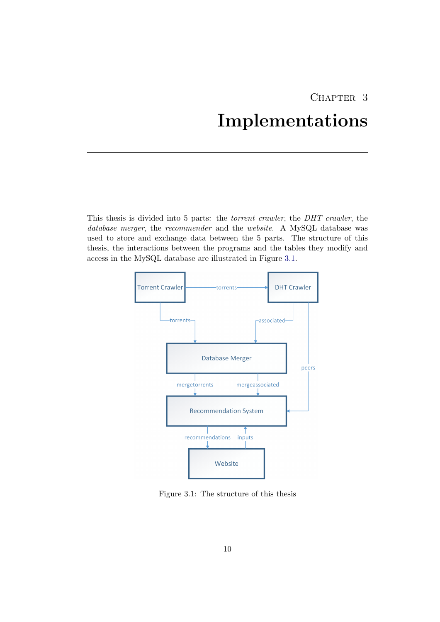# CHAPTER 3 Implementations

<span id="page-12-0"></span>This thesis is divided into 5 parts: the torrent crawler, the DHT crawler, the database merger, the recommender and the website. A MySQL database was used to store and exchange data between the 5 parts. The structure of this thesis, the interactions between the programs and the tables they modify and access in the MySQL database are illustrated in Figure [3.1.](#page-12-1)



<span id="page-12-1"></span>Figure 3.1: The structure of this thesis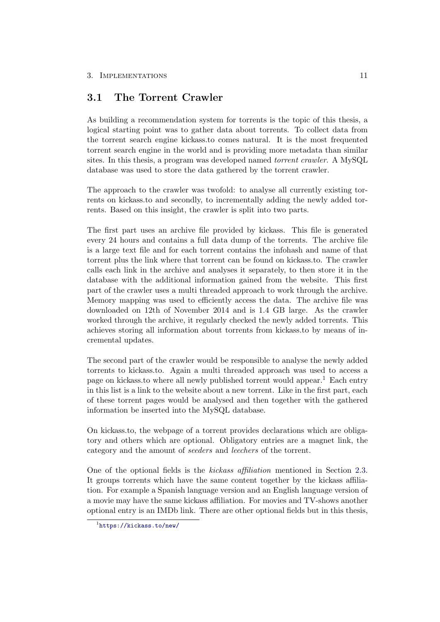## <span id="page-13-0"></span>3.1 The Torrent Crawler

As building a recommendation system for torrents is the topic of this thesis, a logical starting point was to gather data about torrents. To collect data from the torrent search engine kickass.to comes natural. It is the most frequented torrent search engine in the world and is providing more metadata than similar sites. In this thesis, a program was developed named torrent crawler. A MySQL database was used to store the data gathered by the torrent crawler.

The approach to the crawler was twofold: to analyse all currently existing torrents on kickass.to and secondly, to incrementally adding the newly added torrents. Based on this insight, the crawler is split into two parts.

The first part uses an archive file provided by kickass. This file is generated every 24 hours and contains a full data dump of the torrents. The archive file is a large text file and for each torrent contains the infohash and name of that torrent plus the link where that torrent can be found on kickass.to. The crawler calls each link in the archive and analyses it separately, to then store it in the database with the additional information gained from the website. This first part of the crawler uses a multi threaded approach to work through the archive. Memory mapping was used to efficiently access the data. The archive file was downloaded on 12th of November 2014 and is 1.4 GB large. As the crawler worked through the archive, it regularly checked the newly added torrents. This achieves storing all information about torrents from kickass.to by means of incremental updates.

The second part of the crawler would be responsible to analyse the newly added torrents to kickass.to. Again a multi threaded approach was used to access a page on kickass.to where all newly published torrent would appear.[1](#page-13-1) Each entry in this list is a link to the website about a new torrent. Like in the first part, each of these torrent pages would be analysed and then together with the gathered information be inserted into the MySQL database.

On kickass.to, the webpage of a torrent provides declarations which are obligatory and others which are optional. Obligatory entries are a magnet link, the category and the amount of seeders and leechers of the torrent.

One of the optional fields is the kickass affiliation mentioned in Section [2.3.](#page-11-0) It groups torrents which have the same content together by the kickass affiliation. For example a Spanish language version and an English language version of a movie may have the same kickass affiliation. For movies and TV-shows another optional entry is an IMDb link. There are other optional fields but in this thesis,

<span id="page-13-1"></span><sup>1</sup> <https://kickass.to/new/>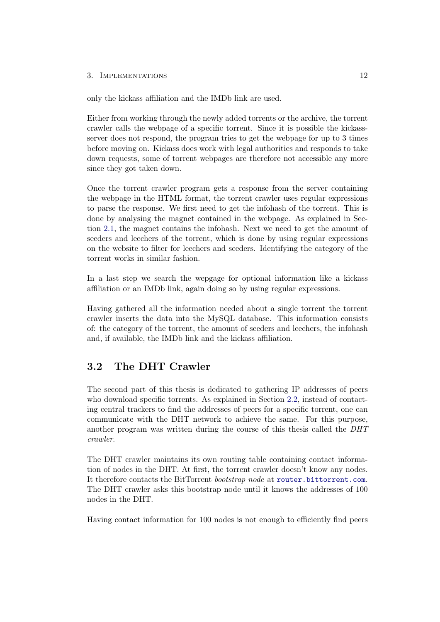### 3. IMPLEMENTATIONS 12

only the kickass affiliation and the IMDb link are used.

Either from working through the newly added torrents or the archive, the torrent crawler calls the webpage of a specific torrent. Since it is possible the kickassserver does not respond, the program tries to get the webpage for up to 3 times before moving on. Kickass does work with legal authorities and responds to take down requests, some of torrent webpages are therefore not accessible any more since they got taken down.

Once the torrent crawler program gets a response from the server containing the webpage in the HTML format, the torrent crawler uses regular expressions to parse the response. We first need to get the infohash of the torrent. This is done by analysing the magnet contained in the webpage. As explained in Section [2.1,](#page-5-1) the magnet contains the infohash. Next we need to get the amount of seeders and leechers of the torrent, which is done by using regular expressions on the website to filter for leechers and seeders. Identifying the category of the torrent works in similar fashion.

In a last step we search the wepgage for optional information like a kickass affiliation or an IMDb link, again doing so by using regular expressions.

Having gathered all the information needed about a single torrent the torrent crawler inserts the data into the MySQL database. This information consists of: the category of the torrent, the amount of seeders and leechers, the infohash and, if available, the IMDb link and the kickass affiliation.

## <span id="page-14-0"></span>3.2 The DHT Crawler

The second part of this thesis is dedicated to gathering IP addresses of peers who download specific torrents. As explained in Section [2.2,](#page-7-0) instead of contacting central trackers to find the addresses of peers for a specific torrent, one can communicate with the DHT network to achieve the same. For this purpose, another program was written during the course of this thesis called the DHT crawler.

The DHT crawler maintains its own routing table containing contact information of nodes in the DHT. At first, the torrent crawler doesn't know any nodes. It therefore contacts the BitTorrent bootstrap node at <router.bittorrent.com>. The DHT crawler asks this bootstrap node until it knows the addresses of 100 nodes in the DHT.

Having contact information for 100 nodes is not enough to efficiently find peers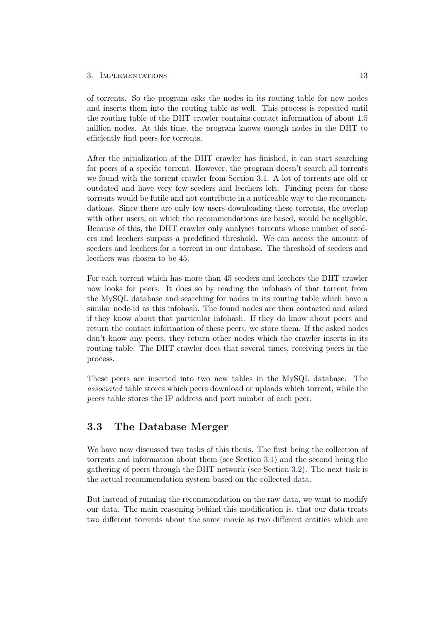### 3. IMPLEMENTATIONS 13

of torrents. So the program asks the nodes in its routing table for new nodes and inserts them into the routing table as well. This process is repeated until the routing table of the DHT crawler contains contact information of about 1.5 million nodes. At this time, the program knows enough nodes in the DHT to efficiently find peers for torrents.

After the initialization of the DHT crawler has finished, it can start searching for peers of a specific torrent. However, the program doesn't search all torrents we found with the torrent crawler from Section [3.1.](#page-13-0) A lot of torrents are old or outdated and have very few seeders and leechers left. Finding peers for these torrents would be futile and not contribute in a noticeable way to the recommendations. Since there are only few users downloading these torrents, the overlap with other users, on which the recommendations are based, would be negligible. Because of this, the DHT crawler only analyses torrents whose number of seeders and leechers surpass a predefined threshold. We can access the amount of seeders and leechers for a torrent in our database. The threshold of seeders and leechers was chosen to be 45.

For each torrent which has more than 45 seeders and leechers the DHT crawler now looks for peers. It does so by reading the infohash of that torrent from the MySQL database and searching for nodes in its routing table which have a similar node-id as this infohash. The found nodes are then contacted and asked if they know about that particular infohash. If they do know about peers and return the contact information of these peers, we store them. If the asked nodes don't know any peers, they return other nodes which the crawler inserts in its routing table. The DHT crawler does that several times, receiving peers in the process.

These peers are inserted into two new tables in the MySQL database. The associated table stores which peers download or uploads which torrent, while the peers table stores the IP address and port number of each peer.

## <span id="page-15-0"></span>3.3 The Database Merger

We have now discussed two tasks of this thesis. The first being the collection of torrents and information about them (see Section [3.1\)](#page-13-0) and the second being the gathering of peers through the DHT network (see Section [3.2\)](#page-14-0). The next task is the actual recommendation system based on the collected data.

But instead of running the recommendation on the raw data, we want to modify our data. The main reasoning behind this modification is, that our data treats two different torrents about the same movie as two different entities which are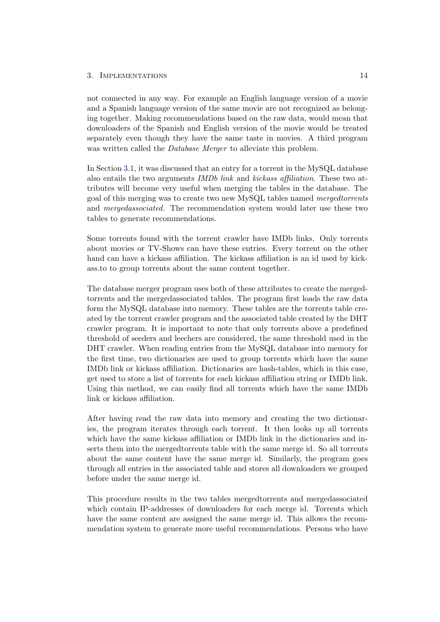### 3. Implementations 14

not connected in any way. For example an English language version of a movie and a Spanish language version of the same movie are not recognized as belonging together. Making recommendations based on the raw data, would mean that downloaders of the Spanish and English version of the movie would be treated separately even though they have the same taste in movies. A third program was written called the *Database Merger* to alleviate this problem.

In Section [3.1,](#page-13-0) it was discussed that an entry for a torrent in the MySQL database also entails the two arguments IMDb link and kickass affiliation. These two attributes will become very useful when merging the tables in the database. The goal of this merging was to create two new MySQL tables named mergedtorrents and mergedassociated. The recommendation system would later use these two tables to generate recommendations.

Some torrents found with the torrent crawler have IMDb links. Only torrents about movies or TV-Shows can have these entries. Every torrent on the other hand can have a kickass affiliation. The kickass affiliation is an id used by kickass.to to group torrents about the same content together.

The database merger program uses both of these attributes to create the mergedtorrents and the mergedassociated tables. The program first loads the raw data form the MySQL database into memory. These tables are the torrents table created by the torrent crawler program and the associated table created by the DHT crawler program. It is important to note that only torrents above a predefined threshold of seeders and leechers are considered, the same threshold used in the DHT crawler. When reading entries from the MySQL database into memory for the first time, two dictionaries are used to group torrents which have the same IMDb link or kickass affiliation. Dictionaries are hash-tables, which in this case, get used to store a list of torrents for each kickass affiliation string or IMDb link. Using this method, we can easily find all torrents which have the same IMDb link or kickass affiliation.

After having read the raw data into memory and creating the two dictionaries, the program iterates through each torrent. It then looks up all torrents which have the same kickass affiliation or IMDb link in the dictionaries and inserts them into the mergedtorrents table with the same merge id. So all torrents about the same content have the same merge id. Similarly, the program goes through all entries in the associated table and stores all downloaders we grouped before under the same merge id.

This procedure results in the two tables mergedtorrents and mergedassociated which contain IP-addresses of downloaders for each merge id. Torrents which have the same content are assigned the same merge id. This allows the recommendation system to generate more useful recommendations. Persons who have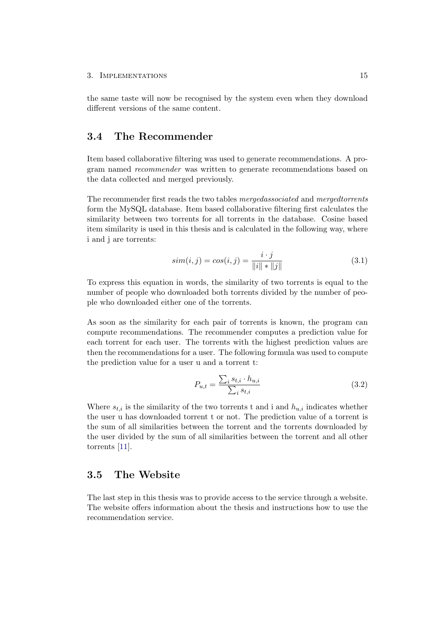the same taste will now be recognised by the system even when they download different versions of the same content.

## <span id="page-17-0"></span>3.4 The Recommender

Item based collaborative filtering was used to generate recommendations. A program named recommender was written to generate recommendations based on the data collected and merged previously.

The recommender first reads the two tables mergedassociated and mergedtorrents form the MySQL database. Item based collaborative filtering first calculates the similarity between two torrents for all torrents in the database. Cosine based item similarity is used in this thesis and is calculated in the following way, where i and j are torrents:

$$
sim(i, j) = cos(i, j) = \frac{i \cdot j}{\|i\| \cdot \|j\|}
$$
\n(3.1)

To express this equation in words, the similarity of two torrents is equal to the number of people who downloaded both torrents divided by the number of people who downloaded either one of the torrents.

As soon as the similarity for each pair of torrents is known, the program can compute recommendations. The recommender computes a prediction value for each torrent for each user. The torrents with the highest prediction values are then the recommendations for a user. The following formula was used to compute the prediction value for a user u and a torrent t:

$$
P_{u,t} = \frac{\sum_{i} s_{t,i} \cdot h_{u,i}}{\sum_{i} s_{t,i}} \tag{3.2}
$$

Where  $s_{t,i}$  is the similarity of the two torrents t and i and  $h_{u,i}$  indicates whether the user u has downloaded torrent t or not. The prediction value of a torrent is the sum of all similarities between the torrent and the torrents downloaded by the user divided by the sum of all similarities between the torrent and all other torrents [\[11\]](#page-22-11).

### <span id="page-17-1"></span>3.5 The Website

The last step in this thesis was to provide access to the service through a website. The website offers information about the thesis and instructions how to use the recommendation service.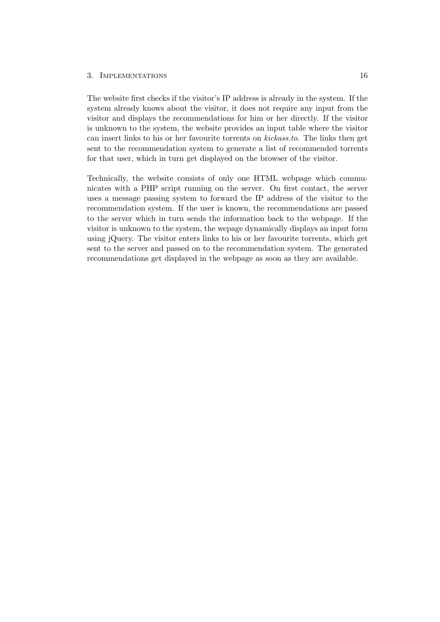#### 3. Implementations 16

The website first checks if the visitor's IP address is already in the system. If the system already knows about the visitor, it does not require any input from the visitor and displays the recommendations for him or her directly. If the visitor is unknown to the system, the website provides an input table where the visitor can insert links to his or her favourite torrents on kickass.to. The links then get sent to the recommendation system to generate a list of recommended torrents for that user, which in turn get displayed on the browser of the visitor.

Technically, the website consists of only one HTML webpage which communicates with a PHP script running on the server. On first contact, the server uses a message passing system to forward the IP address of the visitor to the recommendation system. If the user is known, the recommendations are passed to the server which in turn sends the information back to the webpage. If the visitor is unknown to the system, the wepage dynamically displays an input form using jQuery. The visitor enters links to his or her favourite torrents, which get sent to the server and passed on to the recommendation system. The generated recommendations get displayed in the webpage as soon as they are available.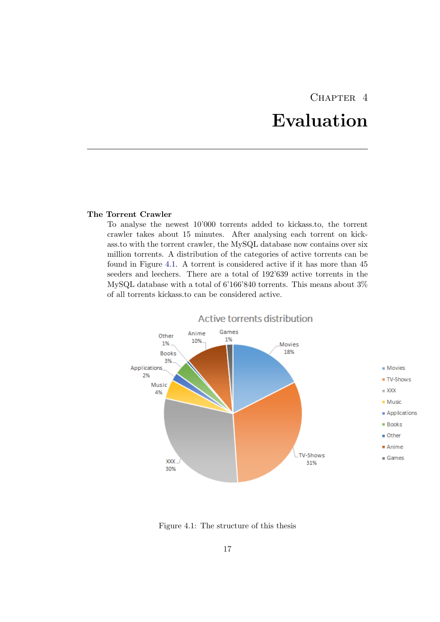## CHAPTER<sub>4</sub> Evaluation

### <span id="page-19-0"></span>The Torrent Crawler

To analyse the newest 10'000 torrents added to kickass.to, the torrent crawler takes about 15 minutes. After analysing each torrent on kickass.to with the torrent crawler, the MySQL database now contains over six million torrents. A distribution of the categories of active torrents can be found in Figure [4.1.](#page-19-1) A torrent is considered active if it has more than 45 seeders and leechers. There are a total of 192'639 active torrents in the MySQL database with a total of 6'166'840 torrents. This means about 3% of all torrents kickass.to can be considered active.



<span id="page-19-1"></span>Figure 4.1: The structure of this thesis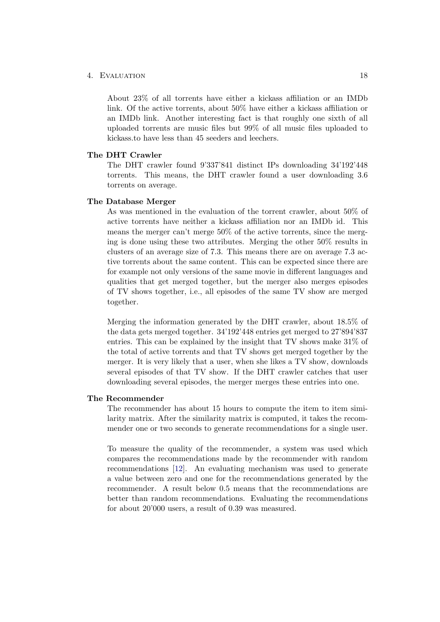### 4. EVALUATION 18

About 23% of all torrents have either a kickass affiliation or an IMDb link. Of the active torrents, about 50% have either a kickass affiliation or an IMDb link. Another interesting fact is that roughly one sixth of all uploaded torrents are music files but 99% of all music files uploaded to kickass.to have less than 45 seeders and leechers.

### The DHT Crawler

The DHT crawler found 9'337'841 distinct IPs downloading 34'192'448 torrents. This means, the DHT crawler found a user downloading 3.6 torrents on average.

### The Database Merger

As was mentioned in the evaluation of the torrent crawler, about 50% of active torrents have neither a kickass affiliation nor an IMDb id. This means the merger can't merge 50% of the active torrents, since the merging is done using these two attributes. Merging the other 50% results in clusters of an average size of 7.3. This means there are on average 7.3 active torrents about the same content. This can be expected since there are for example not only versions of the same movie in different languages and qualities that get merged together, but the merger also merges episodes of TV shows together, i.e., all episodes of the same TV show are merged together.

Merging the information generated by the DHT crawler, about 18.5% of the data gets merged together. 34'192'448 entries get merged to 27'894'837 entries. This can be explained by the insight that TV shows make 31% of the total of active torrents and that TV shows get merged together by the merger. It is very likely that a user, when she likes a TV show, downloads several episodes of that TV show. If the DHT crawler catches that user downloading several episodes, the merger merges these entries into one.

### The Recommender

The recommender has about 15 hours to compute the item to item similarity matrix. After the similarity matrix is computed, it takes the recommender one or two seconds to generate recommendations for a single user.

To measure the quality of the recommender, a system was used which compares the recommendations made by the recommender with random recommendations [\[12\]](#page-22-12). An evaluating mechanism was used to generate a value between zero and one for the recommendations generated by the recommender. A result below 0.5 means that the recommendations are better than random recommendations. Evaluating the recommendations for about 20'000 users, a result of 0.39 was measured.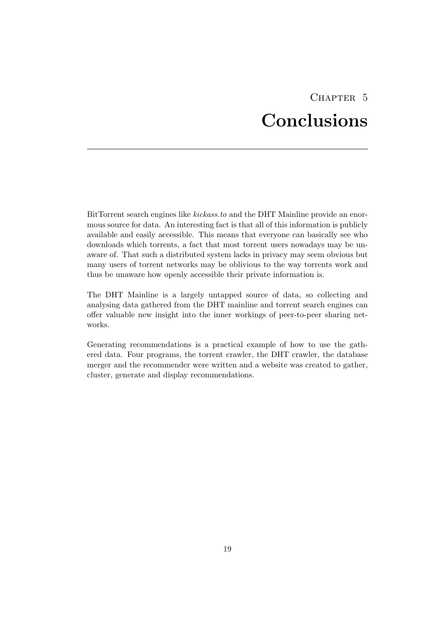# CHAPTER<sub>5</sub> Conclusions

<span id="page-21-0"></span>BitTorrent search engines like kickass.to and the DHT Mainline provide an enormous source for data. An interesting fact is that all of this information is publicly available and easily accessible. This means that everyone can basically see who downloads which torrents, a fact that most torrent users nowadays may be unaware of. That such a distributed system lacks in privacy may seem obvious but many users of torrent networks may be oblivious to the way torrents work and thus be unaware how openly accessible their private information is.

The DHT Mainline is a largely untapped source of data, so collecting and analysing data gathered from the DHT mainline and torrent search engines can offer valuable new insight into the inner workings of peer-to-peer sharing networks.

Generating recommendations is a practical example of how to use the gathered data. Four programs, the torrent crawler, the DHT crawler, the database merger and the recommender were written and a website was created to gather, cluster, generate and display recommendations.